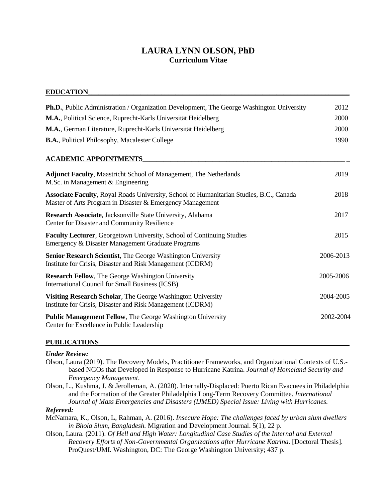# **LAURA LYNN OLSON, PhD Curriculum Vitae**

#### **EDUCATION\_\_\_\_\_\_\_\_\_\_\_\_\_\_\_\_\_\_\_\_\_\_\_\_\_\_\_\_\_\_\_\_\_\_\_\_\_\_\_\_\_\_\_\_\_\_\_\_\_\_\_\_\_\_\_\_\_\_\_\_\_\_\_\_\_\_\_\_\_\_\_\_\_\_\_**

| Ph.D., Public Administration / Organization Development, The George Washington University                                                            | 2012      |
|------------------------------------------------------------------------------------------------------------------------------------------------------|-----------|
| M.A., Political Science, Ruprecht-Karls Universität Heidelberg                                                                                       | 2000      |
| M.A., German Literature, Ruprecht-Karls Universität Heidelberg                                                                                       | 2000      |
| <b>B.A., Political Philosophy, Macalester College</b>                                                                                                | 1990      |
| <b>ACADEMIC APPOINTMENTS</b>                                                                                                                         |           |
| <b>Adjunct Faculty, Maastricht School of Management, The Netherlands</b><br>M.Sc. in Management & Engineering                                        | 2019      |
| Associate Faculty, Royal Roads University, School of Humanitarian Studies, B.C., Canada<br>Master of Arts Program in Disaster & Emergency Management | 2018      |
| Research Associate, Jacksonville State University, Alabama<br>Center for Disaster and Community Resilience                                           | 2017      |
| Faculty Lecturer, Georgetown University, School of Continuing Studies<br>Emergency & Disaster Management Graduate Programs                           | 2015      |
| Senior Research Scientist, The George Washington University<br>Institute for Crisis, Disaster and Risk Management (ICDRM)                            | 2006-2013 |
| <b>Research Fellow, The George Washington University</b><br><b>International Council for Small Business (ICSB)</b>                                   | 2005-2006 |
| Visiting Research Scholar, The George Washington University<br>Institute for Crisis, Disaster and Risk Management (ICDRM)                            | 2004-2005 |
| <b>Public Management Fellow, The George Washington University</b><br>Center for Excellence in Public Leadership                                      | 2002-2004 |

#### **PUBLICATIONS\_\_\_\_\_\_\_\_\_\_\_\_\_\_\_\_\_\_\_\_\_\_\_\_\_\_\_\_\_\_\_\_\_\_\_\_\_\_\_\_\_\_\_\_\_\_\_\_\_\_\_\_\_\_\_\_\_\_\_\_\_\_\_\_\_\_\_\_\_\_\_\_**

#### *Under Review:*

- Olson, Laura (2019). The Recovery Models, Practitioner Frameworks, and Organizational Contexts of U.S. based NGOs that Developed in Response to Hurricane Katrina. *Journal of Homeland Security and Emergency Management*.
- Olson, L., Kushma, J. & Jerolleman, A. (2020). Internally-Displaced: Puerto Rican Evacuees in Philadelphia and the Formation of the Greater Philadelphia Long-Term Recovery Committee. *International Journal of Mass Emergencies and Disasters (IJMED) Special Issue: Living with Hurricanes.*

#### *Refereed:*

- McNamara, K., Olson, L, Rahman, A. (2016). *Insecure Hope: The challenges faced by urban slum dwellers in Bhola Slum, Bangladesh.* Migration and Development Journal. 5(1), 22 p.
- Olson, Laura. (2011). *Of Hell and High Water: Longitudinal Case Studies of the Internal and External Recovery Efforts of Non-Governmental Organizations after Hurricane Katrina.* [Doctoral Thesis]. ProQuest/UMI. Washington, DC: The George Washington University; 437 p.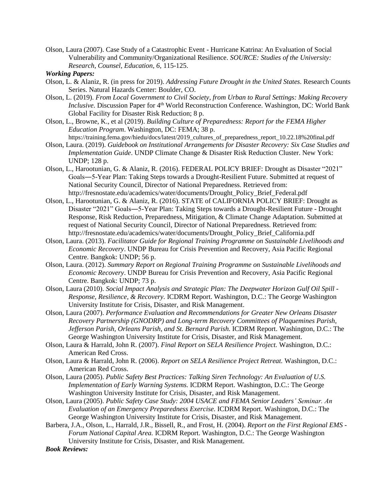Olson, Laura (2007). Case Study of a Catastrophic Event - Hurricane Katrina: An Evaluation of Social Vulnerability and Community/Organizational Resilience. *SOURCE: Studies of the University: Research, Counsel, Education, 6,* 115-125.

#### *Working Papers:*

- Olson, L. & Alaniz, R. (in press for 2019). *Addressing Future Drought in the United States.* Research Counts Series. Natural Hazards Center: Boulder, CO.
- Olson, L. (2019). *From Local Government to Civil Society, from Urban to Rural Settings: Making Recovery*  Inclusive. Discussion Paper for 4<sup>th</sup> World Reconstruction Conference. Washington, DC: World Bank Global Facility for Disaster Risk Reduction; 8 p.
- Olson, L., Browne, K., et al (2019). *Building Culture of Preparedness: Report for the FEMA Higher Education Program*. Washington, DC: FEMA; 38 p. [https://training.fema.gov/hiedu/docs/latest/2019\\_cultures\\_of\\_preparedness\\_report\\_10.22.18%20final.pdf](https://training.fema.gov/hiedu/docs/latest/2019_cultures_of_preparedness_report_10.22.18%20final.pdf)
- Olson, Laura. (2019). *Guidebook on Institutional Arrangements for Disaster Recovery: Six Case Studies and Implementation Guide*. UNDP Climate Change & Disaster Risk Reduction Cluster. New York: UNDP; 128 p.
- Olson, L., Harootunian, G. & Alaniz, R. (2016). FEDERAL POLICY BRIEF: Drought as Disaster "2021" Goals―5-Year Plan: Taking Steps towards a Drought-Resilient Future. Submitted at request of National Security Council, Director of National Preparedness. Retrieved from: http://fresnostate.edu/academics/water/documents/Drought\_Policy\_Brief\_Federal.pdf
- Olson, L., Harootunian, G. & Alaniz, R. (2016). STATE of CALIFORNIA POLICY BRIEF: Drought as Disaster "2021" Goals―5-Year Plan: Taking Steps towards a Drought-Resilient Future - Drought Response, Risk Reduction, Preparedness, Mitigation, & Climate Change Adaptation. Submitted at request of National Security Council, Director of National Preparedness. Retrieved from: [http://fresnostate.edu/academics/water/documents/Drought\\_Policy\\_Brief\\_California.pdf](http://fresnostate.edu/academics/water/documents/Drought_Policy_Brief_California.pdf)
- Olson, Laura. (2013). *Facilitator Guide for Regional Training Programme on Sustainable Livelihoods and Economic Recovery*. UNDP Bureau for Crisis Prevention and Recovery, Asia Pacific Regional Centre. Bangkok: UNDP; 56 p.
- Olson, Laura. (2012). *Summary Report on Regional Training Programme on Sustainable Livelihoods and Economic Recovery*. UNDP Bureau for Crisis Prevention and Recovery, Asia Pacific Regional Centre. Bangkok: UNDP; 73 p.
- Olson, Laura (2010). *Social Impact Analysis and Strategic Plan: The Deepwater Horizon Gulf Oil Spill - Response, Resilience, & Recovery.* ICDRM Report. Washington, D.C.: The George Washington University Institute for Crisis, Disaster, and Risk Management.
- Olson, Laura (2007). *Performance Evaluation and Recommendations for Greater New Orleans Disaster Recovery Partnership (GNODRP) and Long-term Recovery Committees of Plaquemines Parish, Jefferson Parish, Orleans Parish, and St. Bernard Parish.* ICDRM Report. Washington, D.C.: The George Washington University Institute for Crisis, Disaster, and Risk Management.
- Olson, Laura & Harrald, John R. (2007). *Final Report on SELA Resilience Project.* Washington, D.C.: American Red Cross.
- Olson, Laura & Harrald, John R. (2006). *Report on SELA Resilience Project Retreat.* Washington, D.C.: American Red Cross.
- Olson, Laura (2005). *Public Safety Best Practices: Talking Siren Technology: An Evaluation of U.S. Implementation of Early Warning Systems.* ICDRM Report. Washington, D.C.: The George Washington University Institute for Crisis, Disaster, and Risk Management.
- Olson, Laura (2005). *Public Safety Case Study: 2004 USACE and FEMA Senior Leaders' Seminar. An Evaluation of an Emergency Preparedness Exercise.* ICDRM Report. Washington, D.C.: The George Washington University Institute for Crisis, Disaster, and Risk Management.
- Barbera, J.A., Olson, L., Harrald, J.R., Bissell, R., and Frost, H. (2004). *Report on the First Regional EMS - Forum National Capital Area.* ICDRM Report. Washington, D.C.: The George Washington University Institute for Crisis, Disaster, and Risk Management.

*Book Reviews:*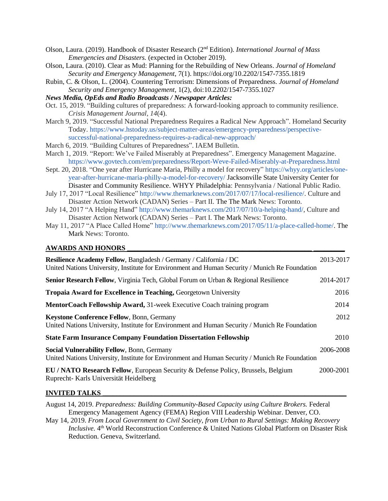- Olson, Laura. (2019). Handbook of Disaster Research (2nd Edition). *International Journal of Mass Emergencies and Disasters.* (expected in October 2019).
- Olson, Laura. (2010). Clear as Mud: [Planning for the Rebuilding](https://wrlc-gu.primo.exlibrisgroup.com/discovery/fulldisplay?docid=degruytera10.2202/1547-7355.1819&context=PC&vid=01WRLC_GUNIV:01WRLC_GUNIV&lang=en&search_scope=DN_and_CI&adaptor=Primo%20Central&tab=Everything&query=any,contains,clear%20as%20mud%20book%20review&sortby=date_d&facet=frbrgroupid,include,1480702900642702528&offset=0) of New Orleans. *Journal of Homeland Security and Emergency Management*, 7(1).<https://doi.org/10.2202/1547-7355.1819>
- Rubin, C. & Olson, L. (2004). Countering Terrorism: Dimensions of Preparedness. *Journal of Homeland Security and Emergency Management*, 1(2), doi:10.2202/1547-7355.1027

*News Media, OpEds and Radio Broadcasts / Newspaper Articles:*

- Oct. 15, 2019. "Building cultures of preparedness: A forward-looking approach to community resilience. *Crisis Management Journal, 14*(4).
- March 9, 2019. "Successful National Preparedness Requires a Radical New Approach". Homeland Security Today. [https://www.hstoday.us/subject-matter-areas/emergency-preparedness/perspective](https://www.hstoday.us/subject-matter-areas/emergency-preparedness/perspective-successful-national-preparedness-requires-a-radical-new-approach/)[successful-national-preparedness-requires-a-radical-new-approach/](https://www.hstoday.us/subject-matter-areas/emergency-preparedness/perspective-successful-national-preparedness-requires-a-radical-new-approach/)
- March 6, 2019. "Building Cultures of Preparedness". IAEM Bulletin.
- March 1, 2019. "Report: We've Failed Miserably at Preparedness". Emergency Management Magazine. <https://www.govtech.com/em/preparedness/Report-Weve-Failed-Miserably-at-Preparedness.html>
- Sept. 20, 2018. "One year after Hurricane Maria, Philly a model for recovery[" https://whyy.org/articles/one](https://whyy.org/articles/one-year-after-hurricane-maria-philly-a-model-for-recovery/)[year-after-hurricane-maria-philly-a-model-for-recovery/](https://whyy.org/articles/one-year-after-hurricane-maria-philly-a-model-for-recovery/) Jacksonville State University Center for Disaster and Community Resilience. WHYY Philadelphia: Pennsylvania / National Public Radio.
- July 17, 2017 "Local Resilience" [http://www.themarknews.com/2017/07/17/local-resilience/.](http://www.themarknews.com/2017/07/17/local-resilience/) Culture and Disaster Action Network (CADAN) Series – Part II. The The Mark News: Toronto.
- July 14, 2017 "A Helping Hand" [http://www.themarknews.com/2017/07/10/a-helping-hand/,](http://www.themarknews.com/2017/07/10/a-helping-hand/) Culture and Disaster Action Network (CADAN) Series – Part I. The Mark News: Toronto.
- May 11, 2017 "A Place Called Home" [http://www.themarknews.com/2017/05/11/a-place-called-home/.](http://www.themarknews.com/2017/05/11/a-place-called-home/) The Mark News: Toronto.

## **AWARDS AND HONORS \_\_\_\_\_\_\_\_\_\_\_\_\_\_\_\_\_\_\_\_\_\_\_\_\_\_\_\_\_\_\_\_\_\_\_\_\_\_\_\_\_\_\_\_\_\_\_\_\_\_\_\_\_ \_\_\_\_\_\_\_\_\_**

| <b>Resilience Academy Fellow, Bangladesh / Germany / California / DC</b><br>United Nations University, Institute for Environment and Human Security / Munich Re Foundation | 2013-2017 |
|----------------------------------------------------------------------------------------------------------------------------------------------------------------------------|-----------|
| <b>Senior Research Fellow, Virginia Tech, Global Forum on Urban &amp; Regional Resilience</b>                                                                              | 2014-2017 |
| <b>Tropaia Award for Excellence in Teaching, Georgetown University</b>                                                                                                     | 2016      |
| <b>MentorCoach Fellowship Award, 31-week Executive Coach training program</b>                                                                                              | 2014      |
| <b>Keystone Conference Fellow, Bonn, Germany</b><br>United Nations University, Institute for Environment and Human Security / Munich Re Foundation                         | 2012      |
| <b>State Farm Insurance Company Foundation Dissertation Fellowship</b>                                                                                                     | 2010      |
| <b>Social Vulnerability Fellow, Bonn, Germany</b><br>United Nations University, Institute for Environment and Human Security / Munich Re Foundation                        | 2006-2008 |
| <b>EU / NATO Research Fellow, European Security &amp; Defense Policy, Brussels, Belgium</b><br>Ruprecht-Karls Universität Heidelberg                                       | 2000-2001 |

# **INVITED TALKS**

August 14, 2019. *Preparedness: Building Community-Based Capacity using Culture Brokers.* Federal Emergency Management Agency (FEMA) Region VIII Leadership Webinar. Denver, CO.

May 14, 2019. *From Local Government to Civil Society, from Urban to Rural Settings: Making Recovery*  Inclusive. 4<sup>th</sup> World Reconstruction Conference & United Nations Global Platform on Disaster Risk Reduction. Geneva, Switzerland.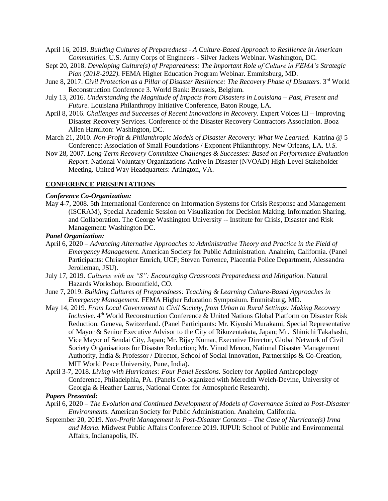- April 16, 2019. *Building Cultures of Preparedness - A Culture-Based Approach to Resilience in American Communities.* U.S. Army Corps of Engineers - Silver Jackets Webinar. Washington, DC.
- Sept 20, 2018. *Developing Culture(s) of Preparedness: The Important Role of Culture in FEMA's Strategic Plan (2018-2022).* FEMA Higher Education Program Webinar. Emmitsburg, MD.
- June 8, 2017. *Civil Protection as a Pillar of Disaster Resilience: The Recovery Phase of Disasters.* 3<sup>rd</sup> World Reconstruction Conference 3. World Bank: Brussels, Belgium.
- July 13, 2016. *Understanding the Magnitude of Impacts from Disasters in Louisiana – Past, Present and Future.* Louisiana Philanthropy Initiative Conference, Baton Rouge, LA.
- April 8, 2016. *Challenges and Successes of Recent Innovations in Recovery.* Expert Voices III Improving Disaster Recovery Services. Conference of the Disaster Recovery Contractors Association. Booz Allen Hamilton: Washington, DC.
- March 21, 2010. *Non-Profit & Philanthropic Models of Disaster Recovery: What We Learned.* Katrina @ 5 Conference: Association of Small Foundations / Exponent Philanthropy. New Orleans, LA. *U.S.*
- Nov 28, 2007. *Long-Term Recovery Committee Challenges & Successes: Based on Performance Evaluation Report.* National Voluntary Organizations Active in Disaster (NVOAD) High-Level Stakeholder Meeting. United Way Headquarters: Arlington, VA.

#### **CONFERENCE PRESENTATIONS\_\_\_\_\_\_\_\_\_\_\_\_\_\_\_\_\_\_\_\_\_\_\_\_\_\_\_\_\_\_\_\_\_\_\_\_\_\_\_\_\_\_\_\_\_\_\_\_\_\_\_\_\_\_\_**

#### *Conference Co-Organization:*

May 4-7, 2008. 5th International Conference on Information Systems [for Crisis Response and Management](http://en.wikipedia.org/wiki/ISCRAM) (ISCRAM), Special Academic Session on Visualization for Decision Making, Information Sharing, and Collaboration. The George Washington University -- Institute for Crisis, Disaster and Risk Management: Washington DC.

#### *Panel Organization:*

- April 6, 2020 *Advancing Alternative Approaches to Administrative Theory and Practice in the Field of Emergency Management*. American Society for Public Administration. Anaheim, California. (Panel Participants: Christopher Emrich, UCF; Steven Torrence, Placentia Police Department, Alessandra Jerolleman, JSU).
- July 17, 2019. *Cultures with an "S": Encouraging Grassroots Preparedness and Mitigation.* Natural Hazards Workshop. Broomfield, CO.
- June 7, 2019. *Building Cultures of Preparedness: Teaching & Learning Culture-Based Approaches in Emergency Management.* FEMA Higher Education Symposium. Emmitsburg, MD.
- May 14, 2019. *From Local Government to Civil Society, from Urban to Rural Settings: Making Recovery*  Inclusive. 4<sup>th</sup> World Reconstruction Conference & United Nations Global Platform on Disaster Risk Reduction. Geneva, Switzerland. (Panel Participants: Mr. Kiyoshi Murakami, Special Representative of Mayor & Senior Executive Advisor to the City of Rikuzentakata, Japan; Mr. Shinichi Takahashi, Vice Mayor of Sendai City, Japan; Mr. Bijay Kumar, Executive Director, Global Network of Civil Society Organisations for Disaster Reduction; Mr. Vinod Menon, National Disaster Management Authority, India & Professor / Director, School of Social Innovation, Partnerships & Co-Creation, MIT World Peace University, Pune, India).
- April 3-7, 2018. *Living with Hurricanes: Four Panel Sessions.* Society for Applied Anthropology Conference, Philadelphia, PA. (Panels Co-organized with Meredith Welch-Devine, University of Georgia & Heather Lazrus, National Center for Atmospheric Research).

#### *Papers Presented:*

- April 6, 2020 *The Evolution and Continued Development of Models of Governance Suited to Post-Disaster Environments*. American Society for Public Administration. Anaheim, California.
- September 20, 2019. *Non-Profit Management in Post-Disaster Contexts – The Case of Hurricane(s) Irma and Maria.* Midwest Public Affairs Conference 2019. IUPUI: School of Public and Environmental Affairs, Indianapolis, IN.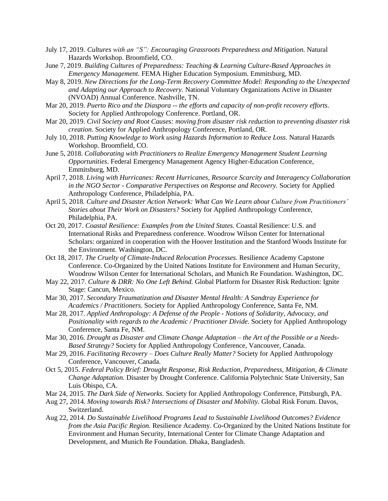- July 17, 2019. *Cultures with an "S": Encouraging Grassroots Preparedness and Mitigation.* Natural Hazards Workshop. Broomfield, CO.
- June 7, 2019. *Building Cultures of Preparedness: Teaching & Learning Culture-Based Approaches in Emergency Management.* FEMA Higher Education Symposium. Emmitsburg, MD.
- May 8, 2019. *New Directions for the Long-Term Recovery Committee Model: Responding to the Unexpected and Adapting our Approach to Recovery.* National Voluntary Organizations Active in Disaster (NVOAD) Annual Conference. Nashville, TN.
- Mar 20, 2019. *Puerto Rico and the Diaspora -- the efforts and capacity of non-profit recovery efforts.* Society for Applied Anthropology Conference. Portland, OR.
- Mar 20, 2019. *Civil Society and Root Causes: moving from disaster risk reduction to preventing disaster risk creation.* Society for Applied Anthropology Conference, Portland, OR.
- July 10, 2018. *Putting Knowledge to Work using Hazards Information to Reduce Loss.* Natural Hazards Workshop. Broomfield, CO.
- June 5, 2018. *Collaborating with Practitioners to Realize Emergency Management Student Learning Opportunities*. Federal Emergency Management Agency Higher-Education Conference, Emmitsburg, MD.
- April 7, 2018. *Living with Hurricanes: Recent Hurricanes, Resource Scarcity and Interagency Collaboration in the NGO Sector - Comparative Perspectives on Response and Recovery.* Society for Applied Anthropology Conference, Philadelphia, PA.
- April 5, 2018. *Culture and Disaster Action Network: What Can We Learn about Culture from Practitioners' Stories about Their Work on Disasters?* Society for Applied Anthropology Conference, Philadelphia, PA.
- Oct 20, 2017. *Coastal Resilience: Examples from the United States.* Coastal Resilience: U.S. and International Risks and Preparedness conference. Woodrow Wilson Center for International Scholars: organized in cooperation with the Hoover Institution and the Stanford Woods Institute for the Environment. Washington, DC.
- Oct 18, 2017. *The Cruelty of Climate-Induced Relocation Processes.* Resilience Academy Capstone Conference. Co-Organized by the United Nations Institute for Environment and Human Security, Woodrow Wilson Center for International Scholars, and Munich Re Foundation. Washington, DC.
- May 22, 2017. *Culture & DRR: No One Left Behind.* Global Platform for Disaster Risk Reduction: Ignite Stage: Cancun, Mexico.
- Mar 30, 2017. *Secondary Traumatization and Disaster Mental Health: A Sandtray Experience for Academics / Practitioners.* Society for Applied Anthropology Conference, Santa Fe, NM.
- Mar 28, 2017. *Applied Anthropology: A Defense of the People - Notions of Solidarity, Advocacy, and Positionality with regards to the Academic / Practitioner Divide.* Society for Applied Anthropology Conference, Santa Fe, NM.
- Mar 30, 2016. *Drought as Disaster and Climate Change Adaptation – the Art of the Possible or a Needs-Based Strategy?* Society for Applied Anthropology Conference, Vancouver, Canada.
- Mar 29, 2016. *Facilitating Recovery – Does Culture Really Matter?* Society for Applied Anthropology Conference, Vancouver, Canada.
- Oct 5, 2015. *Federal Policy Brief: Drought Response, Risk Reduction, Preparedness, Mitigation, & Climate Change Adaptation.* Disaster by Drought Conference. California Polytechnic State University, San Luis Obispo, CA.
- Mar 24, 2015. *The Dark Side of Networks.* Society for Applied Anthropology Conference, Pittsburgh, PA.
- Aug 27, 2014. *Moving towards Risk? Intersections of Disaster and Mobility.* Global Risk Forum. Davos, Switzerland.
- Aug 22, 2014. *Do Sustainable Livelihood Programs Lead to Sustainable Livelihood Outcomes? Evidence from the Asia Pacific Region.* Resilience Academy. Co-Organized by the United Nations Institute for Environment and Human Security, International Center for Climate Change Adaptation and Development, and Munich Re Foundation. Dhaka, Bangladesh.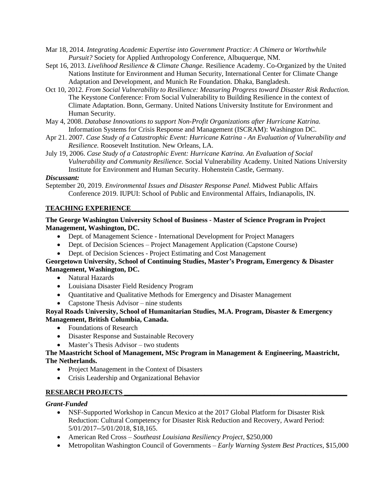- Mar 18, 2014. *Integrating Academic Expertise into Government Practice: A Chimera or Worthwhile Pursuit?* Society for Applied Anthropology Conference, Albuquerque, NM.
- Sept 16, 2013. *Livelihood Resilience & Climate Change.* Resilience Academy. Co-Organized by the United Nations Institute for Environment and Human Security, International Center for Climate Change Adaptation and Development, and Munich Re Foundation. Dhaka, Bangladesh.
- Oct 10, 2012. *From Social Vulnerability to Resilience: Measuring Progress toward Disaster Risk Reduction.* The Keystone Conference: From Social Vulnerability to Building Resilience in the context of Climate Adaptation. Bonn, Germany. United Nations University Institute for Environment and Human Security.
- May 4, 2008. *Database Innovations to support Non-Profit Organizations after Hurricane Katrina.* Information [Systems for Crisis Response and Management](http://en.wikipedia.org/wiki/ISCRAM) (ISCRAM): Washington DC.
- Apr 21. 2007. *Case Study of a Catastrophic Event: Hurricane Katrina - An Evaluation of Vulnerability and Resilience.* Roosevelt Institution. New Orleans, LA.
- July 19, 2006. *Case Study of a Catastrophic Event: Hurricane Katrina. An Evaluation of Social Vulnerability and Community Resilience.* Social Vulnerability Academy. United Nations University Institute for Environment and Human Security. Hohenstein Castle, Germany.

## *Discussant:*

September 20, 2019. *Environmental Issues and Disaster Response Panel.* Midwest Public Affairs Conference 2019. IUPUI: School of Public and Environmental Affairs, Indianapolis, IN.

## **TEACHING EXPERIENCE\_\_\_\_\_\_\_\_\_\_\_\_\_\_\_\_\_\_\_\_\_\_\_\_\_\_\_\_\_\_\_\_\_\_\_\_\_\_\_\_\_\_\_\_\_\_\_\_\_\_\_\_\_\_ \_\_\_\_\_\_\_\_**

#### **The George Washington University School of Business - Master of Science Program in Project Management, Washington, DC.**

- Dept. of Management Science International Development for Project Managers
- Dept. of Decision Sciences Project Management Application (Capstone Course)
- Dept. of Decision Sciences Project Estimating and Cost Management

## **Georgetown University, School of Continuing Studies, Master's Program, Emergency & Disaster Management, Washington, DC.**

- Natural Hazards
- Louisiana Disaster Field Residency Program
- Quantitative and Qualitative Methods for Emergency and Disaster Management
- Capstone Thesis Advisor nine students

#### **Royal Roads University, School of Humanitarian Studies, M.A. Program, Disaster & Emergency Management, British Columbia, Canada.**

- Foundations of Research
- Disaster Response and Sustainable Recovery
- Master's Thesis Advisor two students

#### **The Maastricht School of Management, MSc Program in Management & Engineering, Maastricht, The Netherlands.**

- Project Management in the Context of Disasters
- Crisis Leadership and Organizational Behavior

## **RESEARCH PROJECTS \_\_\_\_\_\_\_\_\_\_\_\_\_\_\_\_\_\_\_\_\_\_\_\_\_\_\_\_\_\_\_\_\_\_\_\_\_\_\_\_\_\_\_\_\_\_\_\_\_\_\_\_\_\_\_\_\_\_\_\_\_\_\_\_**

#### *Grant-Funded*

- NSF-Supported Workshop in Cancun Mexico at the 2017 Global Platform for Disaster Risk Reduction: Cultural Competency for Disaster Risk Reduction and Recovery, Award Period: 5/01/2017--5/01/2018, \$18,165.
- American Red Cross *Southeast Louisiana Resiliency Project*, \$250,000
- Metropolitan Washington Council of Governments *Early Warning System Best Practices,* \$15,000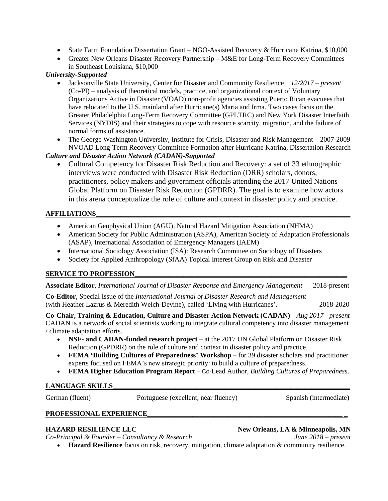- State Farm Foundation Dissertation Grant NGO-Assisted Recovery & Hurricane Katrina, \$10,000
- Greater New Orleans Disaster Recovery Partnership M&E for Long-Term Recovery Committees in Southeast Louisiana, \$10,000

## *University-Supported*

- Jacksonville State University, Center for Disaster and Community Resilience *12/2017 – present* (Co-PI) – analysis of theoretical models, practice, and organizational context of Voluntary Organizations Active in Disaster (VOAD) non-profit agencies assisting Puerto Rican evacuees that have relocated to the U.S. mainland after Hurricane(s) Maria and Irma. Two cases focus on the Greater Philadelphia Long-Term Recovery Committee (GPLTRC) and New York Disaster Interfaith Services (NYDIS) and their strategies to cope with resource scarcity, migration, and the failure of normal forms of assistance.
- The George Washington University, Institute for Crisis, Disaster and Risk Management 2007-2009 NVOAD Long-Term Recovery Committee Formation after Hurricane Katrina, Dissertation Research

## *Culture and Disaster Action Network (CADAN)-Supported*

• Cultural Competency for Disaster Risk Reduction and Recovery: a set of 33 ethnographic interviews were conducted with Disaster Risk Reduction (DRR) scholars, donors, practitioners, policy makers and government officials attending the 2017 United Nations Global Platform on Disaster Risk Reduction (GPDRR). The goal is to examine how actors in this arena conceptualize the role of culture and context in disaster policy and practice.

## **AFFILIATIONS\_\_\_\_\_\_\_\_\_\_\_\_\_\_\_\_\_\_\_\_\_\_\_\_\_\_\_\_\_\_\_\_\_\_\_\_\_\_\_\_\_\_\_\_\_\_\_\_\_\_\_\_\_\_\_\_\_\_\_\_\_\_\_\_\_\_\_\_\_\_\_\_\_**

- American Geophysical Union (AGU), Natural Hazard Mitigation Association (NHMA)
- American Society for Public Administration (ASPA), American Society of Adaptation Professionals (ASAP), International Association of Emergency Managers (IAEM)
- International Sociology Association (ISA): Research Committee on Sociology of Disasters
- Society for Applied Anthropology (SfAA) Topical Interest Group on Risk and Disaster

## **SERVICE TO PROFESSION**

**Associate Editor**, *International Journal of Disaster Response and Emergency Management* 2018-present

**Co-Editor**, Special Issue of the *International Journal of Disaster Research and Management* (with Heather Lazrus & Meredith Welch-Devine), called 'Living with Hurricanes'. 2018-2020

**Co-Chair, Training & Education, Culture and Disaster Action Network (CADAN)** *Aug 2017 - present* CADAN is a network of social scientists working to integrate cultural competency into disaster management / climate adaptation efforts.

- **NSF- and CADAN-funded research project** at the 2017 UN Global Platform on Disaster Risk Reduction (GPDRR) on the role of culture and context in disaster policy and practice.
- **FEMA 'Building Cultures of Preparedness' Workshop**  for 39 disaster scholars and practitioner experts focused on FEMA's new strategic priority: to build a culture of preparedness.
- **FEMA Higher Education Program Report**  Co-Lead Author, *Building Cultures of Preparedness*.

## **LANGUAGE SKILLS\_\_\_\_\_\_\_\_\_\_\_\_\_\_\_\_\_\_\_\_\_\_\_\_\_\_\_\_\_\_\_\_\_\_\_\_\_\_\_\_\_\_\_\_\_\_\_\_\_\_\_\_\_\_\_\_\_\_\_\_\_\_\_\_\_\_\_\_**

German (fluent) Portuguese (excellent, near fluency) Spanish (intermediate)

## **PROFESSIONAL EXPERIENCE\_\_\_\_\_\_\_\_\_\_\_\_\_\_\_\_\_\_\_\_\_\_\_\_\_\_\_\_\_\_\_\_\_\_\_\_\_\_\_\_\_\_\_\_\_\_\_\_\_\_\_\_\_\_\_\_ \_**

**HAZARD RESILIENCE LLC New Orleans, LA & Minneapolis, MN**

*Co-Principal & Founder – Consultancy & Research June 2018 – present*

**Hazard Resilience** focus on risk, recovery, mitigation, climate adaptation & community resilience.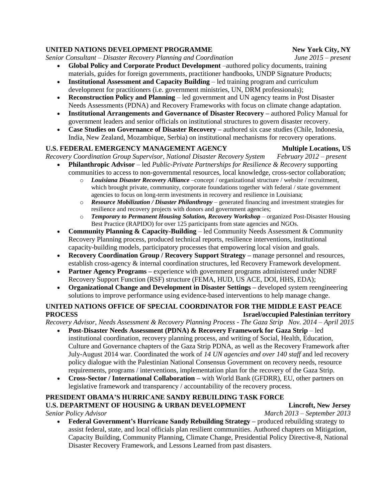## **UNITED NATIONS DEVELOPMENT PROGRAMME New York City, NY**

*Senior Consultant – Disaster Recovery Planning and Coordination June 2015 – present*

- **Global Policy and Corporate Product Development** –authored policy documents, training materials, guides for foreign governments, practitioner handbooks, UNDP Signature Products;
- **Institutional Assessment and Capacity Building**  led training program and curriculum development for practitioners (i.e. government ministries, UN, DRM professionals);
- **Reconstruction Policy and Planning**  led government and UN agency teams in Post Disaster Needs Assessments (PDNA) and Recovery Frameworks with focus on climate change adaptation.
- **Institutional Arrangements and Governance of Disaster Recovery –** authored Policy Manual for government leaders and senior officials on institutional structures to govern disaster recovery.
- **Case Studies on Governance of Disaster Recovery –** authored six case studies (Chile, Indonesia, India, New Zealand, Mozambique, Serbia) on institutional mechanisms for recovery operations.

#### **U.S. FEDERAL EMERGENCY MANAGEMENT AGENCY Multiple Locations, US**

*Recovery Coordination Group Supervisor, National Disaster Recovery System February 2012 – present*

- **Philanthropic Advisor** led *Public-Private Partnerships for Resilience & Recovery* supporting communities to access to non-governmental resources, local knowledge, cross-sector collaboration;
	- o *Louisiana Disaster Recovery Alliance* –concept / organizational structure / website / recruitment, which brought private, community, corporate foundations together with federal / state government agencies to focus on long-term investments in recovery and resilience in Louisiana;
	- o *Resource Mobilization / Disaster Philanthropy* generated financing and investment strategies for resilience and recovery projects with donors and government agencies;
	- o *Temporary to Permanent Housing Solution, Recovery Workshop* organized Post-Disaster Housing Best Practice (RAPIDO) for over 125 participants from state agencies and NGOs.
- **Community Planning & Capacity-Building** led Community Needs Assessment & Community Recovery Planning process, produced technical reports, resilience interventions, institutional capacity-building models, participatory processes that empowering local vision and goals.
- **Recovery Coordination Group / Recovery Support Strategy –** manage personnel and resources, establish cross-agency & internal coordination structures, led Recovery Framework development.
- **Partner Agency Programs –** experience with government programs administered under NDRF Recovery Support Function (RSF) structure (FEMA, HUD, US ACE, DOI, HHS, EDA);
- **Organizational Change and Development in Disaster Settings –** developed system reengineering solutions to improve performance using evidence-based interventions to help manage change.

## **UNITED NATIONS OFFICE OF SPECIAL COORDINATOR FOR THE MIDDLE EAST PEACE PROCESS Israel/occupied Palestinian territory**

*Recovery Advisor, Needs Assessment & Recovery Planning Process - The Gaza Strip Nov. 2014 – April 2015*

- **Post-Disaster Needs Assessment (PDNA) & Recovery Framework for Gaza Strip**  led institutional coordination, recovery planning process, and writing of Social, Health, Education, Culture and Governance chapters of the Gaza Strip PDNA, as well as the Recovery Framework after July-August 2014 war. Coordinated the work of *14 UN agencies and over 140 staff* and led recovery policy dialogue with the Palestinian National Consensus Government on recovery needs, resource requirements, programs / interventions, implementation plan for the recovery of the Gaza Strip.
- **Cross-Sector / International Collaboration –** with World Bank (GFDRR), EU, other partners on legislative framework and transparency / accountability of the recovery process.

# **PRESIDENT OBAMA'S HURRICANE SANDY REBUILDING TASK FORCE**

**U.S. DEPARTMENT OF HOUSING & URBAN DEVELOPMENT Lincroft, New Jersey** *Senior Policy Advisor March 2013 – September 2013*

 **Federal Government's Hurricane Sandy Rebuilding Strategy –** produced rebuilding strategy to assist federal, state, and local officials plan resilient communities. Authored chapters on Mitigation, Capacity Building, Community Planning, Climate Change, Presidential Policy Directive-8, National Disaster Recovery Framework, and Lessons Learned from past disasters.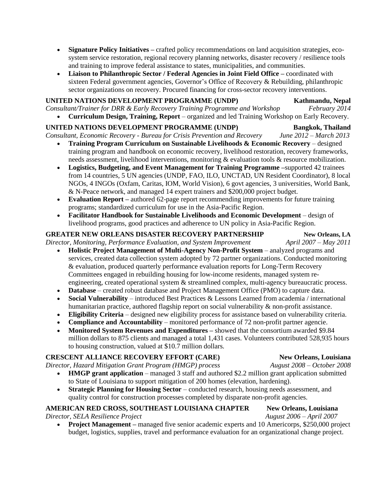- **Signature Policy Initiatives –** crafted policy recommendations on land acquisition strategies, ecosystem service restoration, regional recovery planning networks, disaster recovery / resilience tools and training to improve federal assistance to states, municipalities, and communities.
- **Liaison to Philanthropic Sector / Federal Agencies in Joint Field Office –** coordinated with sixteen Federal government agencies, Governor's Office of Recovery & Rebuilding, philanthropic sector organizations on recovery. Procured financing for cross-sector recovery interventions.

#### **UNITED NATIONS DEVELOPMENT PROGRAMME (UNDP)** Kathmandu, Nepal

*Consultant/Trainer for DRR & Early Recovery Training Programme and Workshop February 2014* **Curriculum Design, Training, Report** – organized and led Training Workshop on Early Recovery.

# **UNITED NATIONS DEVELOPMENT PROGRAMME (UNDP) Bangkok, Thailand**

*Consultant, Economic Recovery - Bureau for Crisis Prevention and Recovery June 2012 – March 2013*

- **Training Program Curriculum on Sustainable Livelihoods & Economic Recovery** designed training program and handbook on economic recovery, livelihood restoration, recovery frameworks, needs assessment, livelihood interventions, monitoring & evaluation tools & resource mobilization.
- **Logistics, Budgeting, and Event Management for Training Programme –**supported 42 trainees from 14 countries, 5 UN agencies (UNDP, FAO, ILO, UNCTAD, UN Resident Coordinator), 8 local NGOs, 4 INGOs (Oxfam, Caritas, IOM, World Vision), 6 govt agencies, 3 universities, World Bank, & N-Peace network, and managed 14 expert trainers and \$200,000 project budget.
- **Evaluation Report –** authored 62-page report recommending improvements for future training programs; standardized curriculum for use in the Asia-Pacific Region.
- **Facilitator Handbook for Sustainable Livelihoods and Economic Development** design of livelihood programs, good practices and adherence to UN policy in Asia-Pacific Region.

# **GREATER NEW ORLEANS DISASTER RECOVERY PARTNERSHIP New Orleans, LA**

*Director, Monitoring, Performance Evaluation, and System Improvement April 2007 – May 2011*

- **Holistic Project Management of Multi-Agency Non-Profit System** analyzed programs and services, created data collection system adopted by 72 partner organizations. Conducted monitoring & evaluation, produced quarterly performance evaluation reports for Long-Term Recovery Committees engaged in rebuilding housing for low-income residents, managed system reengineering, created operational system & streamlined complex, multi-agency bureaucratic process.
- **Database** created robust database and Project Management Office (PMO) to capture data.
- **Social Vulnerability** introduced Best Practices & Lessons Learned from academia / international humanitarian practice, authored flagship report on social vulnerability & non-profit assistance.
- **Eligibility Criteria** designed new eligibility process for assistance based on vulnerability criteria.
- **Compliance and Accountability** monitored performance of 72 non-profit partner agencie.
- **Monitored System Revenues and Expenditures –** showed that the consortium awarded \$9.84 million dollars to 875 clients and managed a total 1,431 cases. Volunteers contributed 528,935 hours to housing construction, valued at \$10.7 million dollars.

# **CRESCENT ALLIANCE RECOVERY EFFORT (CARE)** New Orleans, Louisiana

*Director, Hazard Mitigation Grant Program (HMGP) process August 2008 – October 2008*

- **HMGP grant application** managed 3 staff and authored \$2.2 million grant application submitted to State of Louisiana to support mitigation of 200 homes (elevation, hardening).
- **Strategic Planning for Housing Sector** conducted research, housing needs assessment, and quality control for construction processes completed by disparate non-profit agencies.

# **AMERICAN RED CROSS, SOUTHEAST LOUISIANA CHAPTER New Orleans, Louisiana**

*Director, SELA Resilience Project August 2006 – April 2007*

 **Project Management –** managed five senior academic experts and 10 Americorps, \$250,000 project budget, logistics, supplies, travel and performance evaluation for an organizational change project.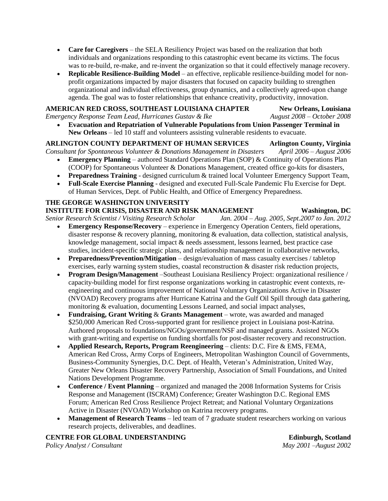- **Care for Caregivers** the SELA Resiliency Project was based on the realization that both individuals and organizations responding to this catastrophic event became its victims. The focus was to re-build, re-make, and re-invent the organization so that it could effectively manage recovery.
- **Replicable Resilience-Building Model** an effective, replicable resilience-building model for nonprofit organizations impacted by major disasters that focused on capacity building to strengthen organizational and individual effectiveness, group dynamics, and a collectively agreed-upon change agenda. The goal was to foster relationships that enhance creativity, productivity, innovation.

#### **AMERICAN RED CROSS, SOUTHEAST LOUISIANA CHAPTER New Orleans, Louisiana**

*Emergency Response Team Lead, Hurricanes Gustav & Ike August 2008 – October 2008*

 **Evacuation and Repatriation of Vulnerable Populations from Union Passenger Terminal in New Orleans** – led 10 staff and volunteers assisting vulnerable residents to evacuate.

# **ARLINGTON COUNTY DEPARTMENT OF HUMAN SERVICES Arlington County, Virginia**

*Consultant for Spontaneous Volunteer & Donations Management in Disasters April 2006 – August 2006*

- **Emergency Planning** authored Standard Operations Plan (SOP) & Continuity of Operations Plan (COOP) for Spontaneous Volunteer & Donations Management, created office go-kits for disasters,
- **Preparedness Training** designed curriculum & trained local Volunteer Emergency Support Team,
- **Full-Scale Exercise Planning** designed and executed Full-Scale Pandemic Flu Exercise for Dept. of Human Services, Dept. of Public Health, and Office of Emergency Preparedness.

#### **THE GEORGE WASHINGTON UNIVERSITY**

#### **INSTITUTE FOR CRISIS, DISASTER AND RISK MANAGEMENT Washington, DC**

*Senior Research Scientist / Visiting Research Scholar Jan. 2004 – Aug. 2005, Sept.2007 to Jan. 2012*

- **Emergency Response/Recovery**  experience in Emergency Operation Centers, field operations, disaster response & recovery planning, monitoring & evaluation, data collection, statistical analysis, knowledge management, social impact & needs assessment, lessons learned, best practice case studies, incident-specific strategic plans, and relationship management in collaborative networks,
- **Preparedness/Prevention/Mitigation** design/evaluation of mass casualty exercises / tabletop exercises, early warning system studies, coastal reconstruction & disaster risk reduction projects,
- **Program Design/Management** –Southeast Louisiana Resiliency Project: organizational resilience / capacity-building model for first response organizations working in catastrophic event contexts, reengineering and continuous improvement of National Voluntary Organizations Active in Disaster (NVOAD) Recovery programs after Hurricane Katrina and the Gulf Oil Spill through data gathering, monitoring & evaluation, documenting Lessons Learned, and social impact analyses,
- **Fundraising, Grant Writing** & **Grants Management**  wrote, was awarded and managed \$250,000 American Red Cross-supported grant for resilience project in Louisiana post-Katrina. Authored proposals to foundations/NGOs/government/NSF and managed grants. Assisted NGOs with grant-writing and expertise on funding shortfalls for post-disaster recovery and reconstruction.
- **Applied Research, Reports, Program Reengineering** clients: D.C. Fire & EMS, FEMA, American Red Cross, Army Corps of Engineers, Metropolitan Washington Council of Governments, Business-Community Synergies, D.C. Dept. of Health, Veteran's Administration, United Way, Greater New Orleans Disaster Recovery Partnership, Association of Small Foundations, and United Nations Development Programme.
- **Conference / Event Planning** organized and managed the 2008 Information Systems for Crisis Response and Management (ISCRAM) Conference; Greater Washington D.C. Regional EMS Forum; American Red Cross Resilience Project Retreat; and National Voluntary Organizations Active in Disaster (NVOAD) Workshop on Katrina recovery programs.
- **Management of Research Teams**  led team of 7 graduate student researchers working on various research projects, deliverables, and deadlines.

**CENTRE FOR GLOBAL UNDERSTANDING Edinburgh, Scotland** *Policy Analyst / Consultant May 2001 –August 2002*